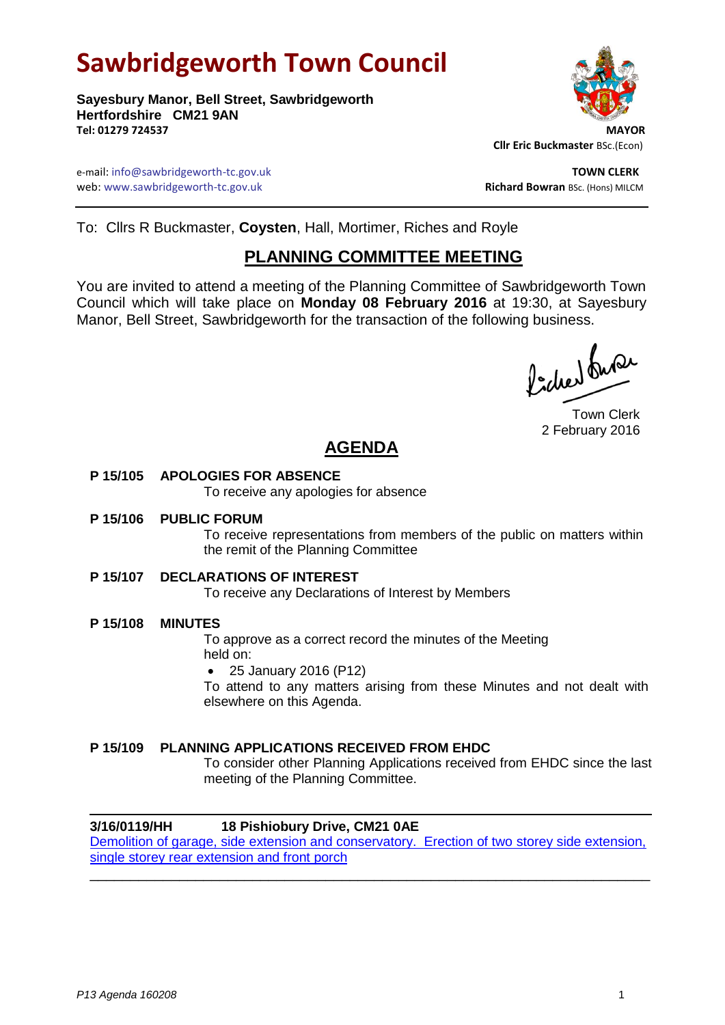# **Sawbridgeworth Town Council**

**Sayesbury Manor, Bell Street, Sawbridgeworth Hertfordshire CM21 9AN** Tel: 01279 724537



 **Cllr Eric Buckmaster** BSc.(Econ)

e-mail: info@sawbridgeworth-tc.gov.uk and the set of the set of the set of the set of the set of the set of the set of the set of the set of the set of the set of the set of the set of the set of the set of the set of the web: www.sawbridgeworth-tc.gov.uk **Richard Bowran** BSc. (Hons) MILCM

To: Cllrs R Buckmaster, **Coysten**, Hall, Mortimer, Riches and Royle

## **PLANNING COMMITTEE MEETING**

You are invited to attend a meeting of the Planning Committee of Sawbridgeworth Town Council which will take place on **Monday 08 February 2016** at 19:30, at Sayesbury Manor, Bell Street, Sawbridgeworth for the transaction of the following business.

Picked Super

Town Clerk 2 February 2016

# **AGENDA**

### **P 15/105 APOLOGIES FOR ABSENCE**

To receive any apologies for absence

**P 15/106 PUBLIC FORUM**

To receive representations from members of the public on matters within the remit of the Planning Committee

#### **P 15/107 DECLARATIONS OF INTEREST**

To receive any Declarations of Interest by Members

#### **P 15/108 MINUTES**

To approve as a correct record the minutes of the Meeting held on:

25 January 2016 (P12)

To attend to any matters arising from these Minutes and not dealt with elsewhere on this Agenda.

#### **P 15/109 PLANNING APPLICATIONS RECEIVED FROM EHDC**

To consider other Planning Applications received from EHDC since the last meeting of the Planning Committee.

#### **3/16/0119/HH 18 Pishiobury Drive, CM21 0AE**

[Demolition of garage, side extension and conservatory. Erection of two storey side extension,](https://publicaccess.eastherts.gov.uk/online-applications/applicationDetails.do?activeTab=summary&keyVal=O17F3AGL00300)  [single storey rear extension and front porch](https://publicaccess.eastherts.gov.uk/online-applications/applicationDetails.do?activeTab=summary&keyVal=O17F3AGL00300) \_\_\_\_\_\_\_\_\_\_\_\_\_\_\_\_\_\_\_\_\_\_\_\_\_\_\_\_\_\_\_\_\_\_\_\_\_\_\_\_\_\_\_\_\_\_\_\_\_\_\_\_\_\_\_\_\_\_\_\_\_\_\_\_\_\_\_\_\_